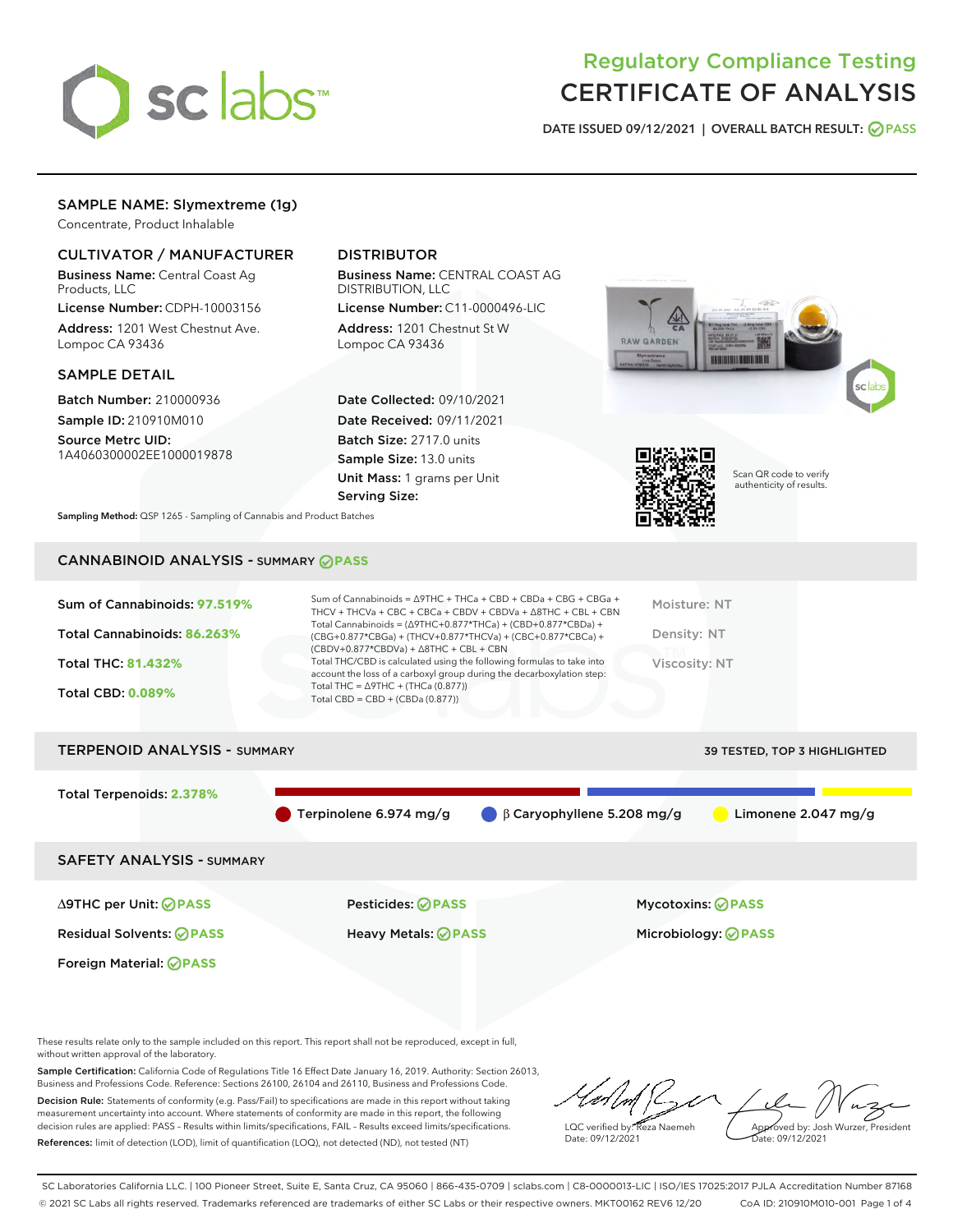

## Regulatory Compliance Testing CERTIFICATE OF ANALYSIS

DATE ISSUED 09/12/2021 | OVERALL BATCH RESULT: @ PASS

## SAMPLE NAME: Slymextreme (1g)

Concentrate, Product Inhalable

## CULTIVATOR / MANUFACTURER

Business Name: Central Coast Ag Products, LLC

License Number: CDPH-10003156 Address: 1201 West Chestnut Ave. Lompoc CA 93436

#### SAMPLE DETAIL

Batch Number: 210000936 Sample ID: 210910M010

Source Metrc UID: 1A4060300002EE1000019878

## DISTRIBUTOR

Business Name: CENTRAL COAST AG DISTRIBUTION, LLC

License Number: C11-0000496-LIC Address: 1201 Chestnut St W Lompoc CA 93436

Date Collected: 09/10/2021 Date Received: 09/11/2021 Batch Size: 2717.0 units Sample Size: 13.0 units Unit Mass: 1 grams per Unit Serving Size:





Scan QR code to verify authenticity of results.

Sampling Method: QSP 1265 - Sampling of Cannabis and Product Batches

## CANNABINOID ANALYSIS - SUMMARY **PASS**

| Sum of Cannabinoids: 97.519% | Sum of Cannabinoids = $\triangle$ 9THC + THCa + CBD + CBDa + CBG + CBGa +<br>THCV + THCVa + CBC + CBCa + CBDV + CBDVa + $\Delta$ 8THC + CBL + CBN                                    | Moisture: NT  |
|------------------------------|--------------------------------------------------------------------------------------------------------------------------------------------------------------------------------------|---------------|
| Total Cannabinoids: 86.263%  | Total Cannabinoids = $(\Delta$ 9THC+0.877*THCa) + (CBD+0.877*CBDa) +<br>(CBG+0.877*CBGa) + (THCV+0.877*THCVa) + (CBC+0.877*CBCa) +<br>$(CBDV+0.877*CBDVa) + \Delta 8THC + CBL + CBN$ | Density: NT   |
| <b>Total THC: 81.432%</b>    | Total THC/CBD is calculated using the following formulas to take into<br>account the loss of a carboxyl group during the decarboxylation step:                                       | Viscosity: NT |
| <b>Total CBD: 0.089%</b>     | Total THC = $\triangle$ 9THC + (THCa (0.877))<br>Total CBD = $CBD + (CBDa (0.877))$                                                                                                  |               |
|                              |                                                                                                                                                                                      |               |

# TERPENOID ANALYSIS - SUMMARY 39 TESTED, TOP 3 HIGHLIGHTED Total Terpenoids: **2.378%** Terpinolene 6.974 mg/g β Caryophyllene 5.208 mg/g Limonene 2.047 mg/g SAFETY ANALYSIS - SUMMARY

Foreign Material: **PASS**

Residual Solvents: **PASS** Heavy Metals: **PASS** Microbiology: **PASS**

∆9THC per Unit: **PASS** Pesticides: **PASS** Mycotoxins: **PASS**

These results relate only to the sample included on this report. This report shall not be reproduced, except in full, without written approval of the laboratory.

Sample Certification: California Code of Regulations Title 16 Effect Date January 16, 2019. Authority: Section 26013, Business and Professions Code. Reference: Sections 26100, 26104 and 26110, Business and Professions Code. Decision Rule: Statements of conformity (e.g. Pass/Fail) to specifications are made in this report without taking measurement uncertainty into account. Where statements of conformity are made in this report, the following

References: limit of detection (LOD), limit of quantification (LOQ), not detected (ND), not tested (NT)

decision rules are applied: PASS – Results within limits/specifications, FAIL – Results exceed limits/specifications.

LQC verified by: Reza Naemeh Date: 09/12/2021 Approved by: Josh Wurzer, President Date: 09/12/2021

SC Laboratories California LLC. | 100 Pioneer Street, Suite E, Santa Cruz, CA 95060 | 866-435-0709 | sclabs.com | C8-0000013-LIC | ISO/IES 17025:2017 PJLA Accreditation Number 87168 © 2021 SC Labs all rights reserved. Trademarks referenced are trademarks of either SC Labs or their respective owners. MKT00162 REV6 12/20 CoA ID: 210910M010-001 Page 1 of 4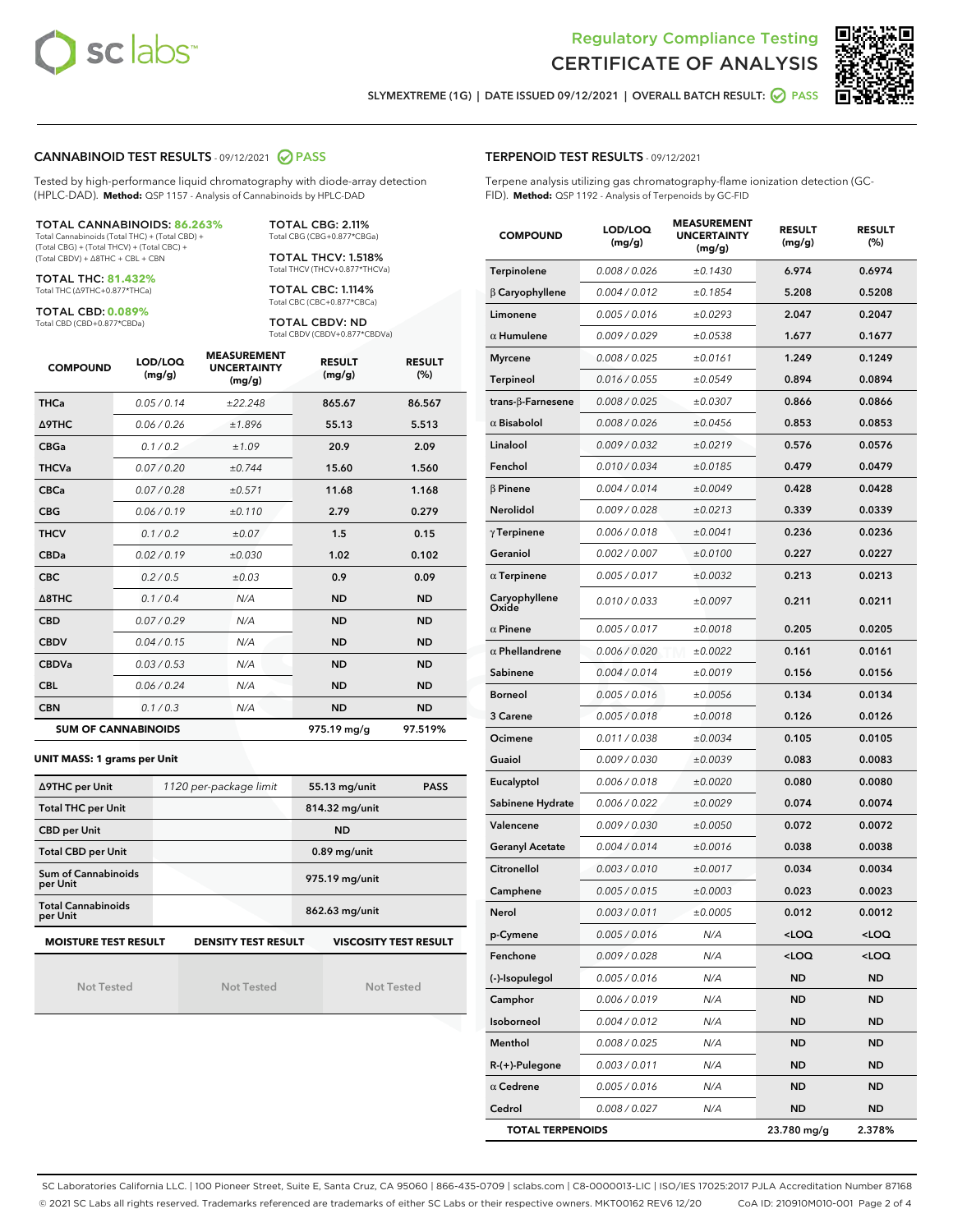



SLYMEXTREME (1G) | DATE ISSUED 09/12/2021 | OVERALL BATCH RESULT: @ PASS

#### CANNABINOID TEST RESULTS - 09/12/2021 2 PASS

Tested by high-performance liquid chromatography with diode-array detection (HPLC-DAD). **Method:** QSP 1157 - Analysis of Cannabinoids by HPLC-DAD

#### TOTAL CANNABINOIDS: **86.263%**

Total Cannabinoids (Total THC) + (Total CBD) + (Total CBG) + (Total THCV) + (Total CBC) + (Total CBDV) + ∆8THC + CBL + CBN

TOTAL THC: **81.432%** Total THC (∆9THC+0.877\*THCa)

TOTAL CBD: **0.089%**

Total CBD (CBD+0.877\*CBDa)

TOTAL CBG: 2.11% Total CBG (CBG+0.877\*CBGa)

TOTAL THCV: 1.518% Total THCV (THCV+0.877\*THCVa)

TOTAL CBC: 1.114% Total CBC (CBC+0.877\*CBCa)

TOTAL CBDV: ND Total CBDV (CBDV+0.877\*CBDVa)

| <b>COMPOUND</b>  | LOD/LOQ<br>(mg/g)          | <b>MEASUREMENT</b><br><b>UNCERTAINTY</b><br>(mg/g) | <b>RESULT</b><br>(mg/g) | <b>RESULT</b><br>(%) |
|------------------|----------------------------|----------------------------------------------------|-------------------------|----------------------|
| <b>THCa</b>      | 0.05/0.14                  | ±22.248                                            | 865.67                  | 86.567               |
| Δ9THC            | 0.06 / 0.26                | ±1.896                                             | 55.13                   | 5.513                |
| <b>CBGa</b>      | 0.1 / 0.2                  | ±1.09                                              | 20.9                    | 2.09                 |
| <b>THCVa</b>     | 0.07/0.20                  | ±0.744                                             | 15.60                   | 1.560                |
| <b>CBCa</b>      | 0.07 / 0.28                | ±0.571                                             | 11.68                   | 1.168                |
| <b>CBG</b>       | 0.06/0.19                  | ±0.110                                             | 2.79                    | 0.279                |
| <b>THCV</b>      | 0.1/0.2                    | ±0.07                                              | 1.5                     | 0.15                 |
| <b>CBDa</b>      | 0.02 / 0.19                | ±0.030                                             | 1.02                    | 0.102                |
| <b>CBC</b>       | 0.2 / 0.5                  | ±0.03                                              | 0.9                     | 0.09                 |
| $\triangle$ 8THC | 0.1 / 0.4                  | N/A                                                | <b>ND</b>               | <b>ND</b>            |
| <b>CBD</b>       | 0.07/0.29                  | N/A                                                | <b>ND</b>               | <b>ND</b>            |
| <b>CBDV</b>      | 0.04 / 0.15                | N/A                                                | <b>ND</b>               | <b>ND</b>            |
| <b>CBDVa</b>     | 0.03 / 0.53                | N/A                                                | <b>ND</b>               | <b>ND</b>            |
| <b>CBL</b>       | 0.06/0.24                  | N/A                                                | <b>ND</b>               | <b>ND</b>            |
| <b>CBN</b>       | 0.1 / 0.3                  | N/A                                                | <b>ND</b>               | <b>ND</b>            |
|                  | <b>SUM OF CANNABINOIDS</b> |                                                    | 975.19 mg/g             | 97.519%              |

#### **UNIT MASS: 1 grams per Unit**

| ∆9THC per Unit                        | 1120 per-package limit     | 55.13 mg/unit<br><b>PASS</b> |
|---------------------------------------|----------------------------|------------------------------|
| <b>Total THC per Unit</b>             |                            | 814.32 mg/unit               |
| <b>CBD</b> per Unit                   |                            | <b>ND</b>                    |
| <b>Total CBD per Unit</b>             |                            | $0.89$ mg/unit               |
| Sum of Cannabinoids<br>per Unit       |                            | 975.19 mg/unit               |
| <b>Total Cannabinoids</b><br>per Unit |                            | 862.63 mg/unit               |
| <b>MOISTURE TEST RESULT</b>           | <b>DENSITY TEST RESULT</b> | <b>VISCOSITY TEST RESULT</b> |

Not Tested

Not Tested

Not Tested

#### TERPENOID TEST RESULTS - 09/12/2021

Terpene analysis utilizing gas chromatography-flame ionization detection (GC-FID). **Method:** QSP 1192 - Analysis of Terpenoids by GC-FID

| <b>COMPOUND</b>         | LOD/LOQ<br>(mg/g) | <b>MEASUREMENT</b><br><b>UNCERTAINTY</b><br>(mg/g) | <b>RESULT</b><br>(mg/g)                         | <b>RESULT</b><br>$(\%)$ |
|-------------------------|-------------------|----------------------------------------------------|-------------------------------------------------|-------------------------|
| Terpinolene             | 0.008 / 0.026     | ±0.1430                                            | 6.974                                           | 0.6974                  |
| $\beta$ Caryophyllene   | 0.004 / 0.012     | ±0.1854                                            | 5.208                                           | 0.5208                  |
| Limonene                | 0.005 / 0.016     | ±0.0293                                            | 2.047                                           | 0.2047                  |
| $\alpha$ Humulene       | 0.009 / 0.029     | ±0.0538                                            | 1.677                                           | 0.1677                  |
| <b>Myrcene</b>          | 0.008 / 0.025     | ±0.0161                                            | 1.249                                           | 0.1249                  |
| Terpineol               | 0.016 / 0.055     | ±0.0549                                            | 0.894                                           | 0.0894                  |
| trans-β-Farnesene       | 0.008 / 0.025     | ±0.0307                                            | 0.866                                           | 0.0866                  |
| $\alpha$ Bisabolol      | 0.008 / 0.026     | ±0.0456                                            | 0.853                                           | 0.0853                  |
| Linalool                | 0.009 / 0.032     | ±0.0219                                            | 0.576                                           | 0.0576                  |
| Fenchol                 | 0.010 / 0.034     | ±0.0185                                            | 0.479                                           | 0.0479                  |
| $\beta$ Pinene          | 0.004 / 0.014     | ±0.0049                                            | 0.428                                           | 0.0428                  |
| Nerolidol               | 0.009 / 0.028     | ±0.0213                                            | 0.339                                           | 0.0339                  |
| $\gamma$ Terpinene      | 0.006 / 0.018     | ±0.0041                                            | 0.236                                           | 0.0236                  |
| Geraniol                | 0.002 / 0.007     | ±0.0100                                            | 0.227                                           | 0.0227                  |
| $\alpha$ Terpinene      | 0.005 / 0.017     | ±0.0032                                            | 0.213                                           | 0.0213                  |
| Caryophyllene<br>Oxide  | 0.010 / 0.033     | ±0.0097                                            | 0.211                                           | 0.0211                  |
| $\alpha$ Pinene         | 0.005 / 0.017     | ±0.0018                                            | 0.205                                           | 0.0205                  |
| $\alpha$ Phellandrene   | 0.006 / 0.020     | ±0.0022                                            | 0.161                                           | 0.0161                  |
| Sabinene                | 0.004 / 0.014     | ±0.0019                                            | 0.156                                           | 0.0156                  |
| <b>Borneol</b>          | 0.005 / 0.016     | ±0.0056                                            | 0.134                                           | 0.0134                  |
| 3 Carene                | 0.005 / 0.018     | ±0.0018                                            | 0.126                                           | 0.0126                  |
| Ocimene                 | 0.011 / 0.038     | ±0.0034                                            | 0.105                                           | 0.0105                  |
| Guaiol                  | 0.009 / 0.030     | ±0.0039                                            | 0.083                                           | 0.0083                  |
| Eucalyptol              | 0.006 / 0.018     | ±0.0020                                            | 0.080                                           | 0.0080                  |
| Sabinene Hydrate        | 0.006 / 0.022     | ±0.0029                                            | 0.074                                           | 0.0074                  |
| Valencene               | 0.009 / 0.030     | ±0.0050                                            | 0.072                                           | 0.0072                  |
| <b>Geranyl Acetate</b>  | 0.004 / 0.014     | ±0.0016                                            | 0.038                                           | 0.0038                  |
| Citronellol             | 0.003 / 0.010     | ±0.0017                                            | 0.034                                           | 0.0034                  |
| Camphene                | 0.005 / 0.015     | ±0.0003                                            | 0.023                                           | 0.0023                  |
| Nerol                   | 0.003 / 0.011     | ±0.0005                                            | 0.012                                           | 0.0012                  |
| p-Cymene                | 0.005 / 0.016     | N/A                                                | <loq< th=""><th><loq< th=""></loq<></th></loq<> | <loq< th=""></loq<>     |
| Fenchone                | 0.009 / 0.028     | N/A                                                | <loq< th=""><th><loq< th=""></loq<></th></loq<> | <loq< th=""></loq<>     |
| (-)-Isopulegol          | 0.005 / 0.016     | N/A                                                | ND                                              | ND                      |
| Camphor                 | 0.006 / 0.019     | N/A                                                | ND                                              | <b>ND</b>               |
| Isoborneol              | 0.004 / 0.012     | N/A                                                | ND                                              | ND                      |
| Menthol                 | 0.008 / 0.025     | N/A                                                | ND                                              | ND                      |
| $R-(+)$ -Pulegone       | 0.003 / 0.011     | N/A                                                | ND                                              | <b>ND</b>               |
| $\alpha$ Cedrene        | 0.005 / 0.016     | N/A                                                | ND                                              | ND                      |
| Cedrol                  | 0.008 / 0.027     | N/A                                                | ND                                              | <b>ND</b>               |
| <b>TOTAL TERPENOIDS</b> |                   |                                                    | 23.780 mg/g                                     | 2.378%                  |

SC Laboratories California LLC. | 100 Pioneer Street, Suite E, Santa Cruz, CA 95060 | 866-435-0709 | sclabs.com | C8-0000013-LIC | ISO/IES 17025:2017 PJLA Accreditation Number 87168 © 2021 SC Labs all rights reserved. Trademarks referenced are trademarks of either SC Labs or their respective owners. MKT00162 REV6 12/20 CoA ID: 210910M010-001 Page 2 of 4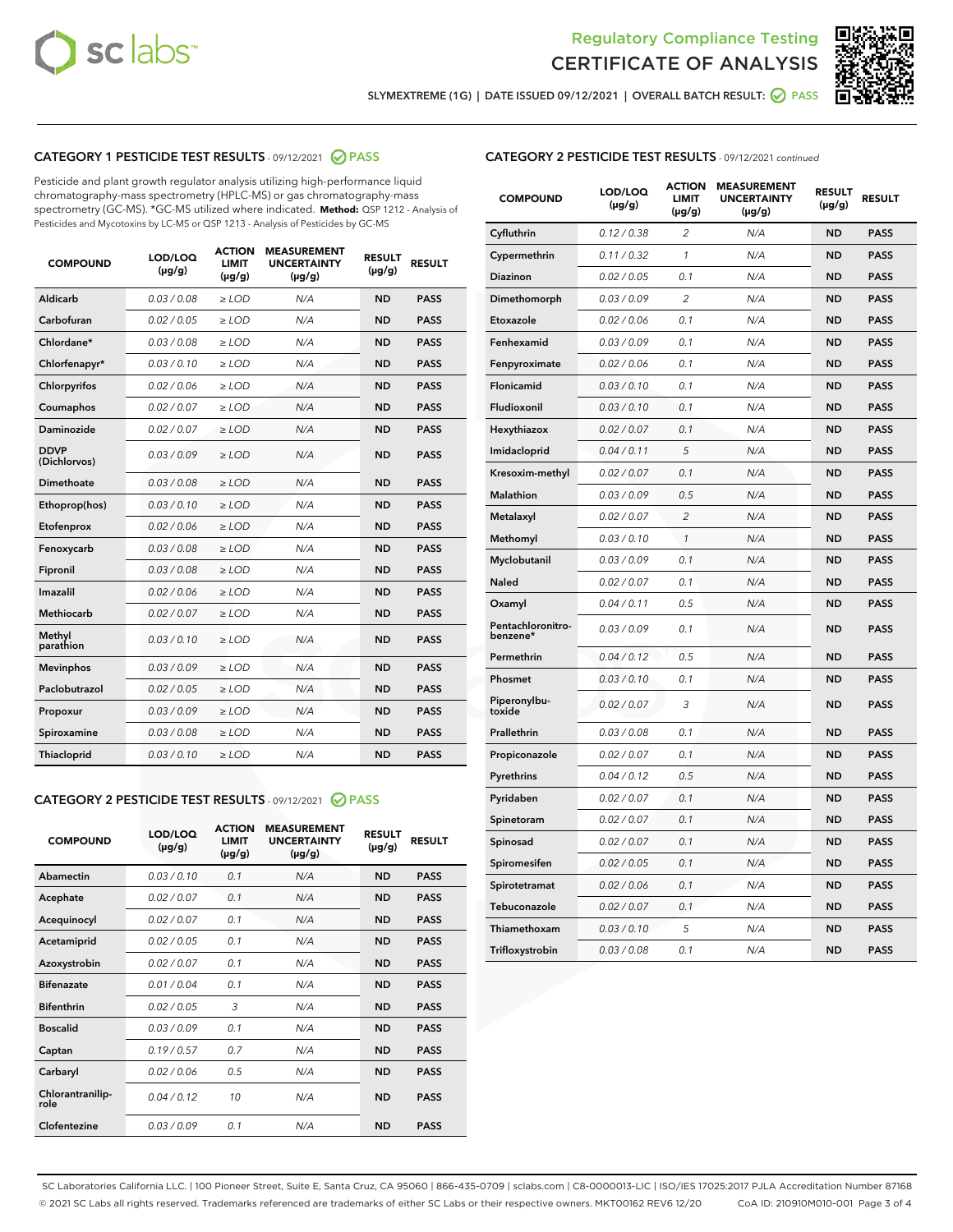



SLYMEXTREME (1G) | DATE ISSUED 09/12/2021 | OVERALL BATCH RESULT: 2 PASS

## CATEGORY 1 PESTICIDE TEST RESULTS - 09/12/2021 2 PASS

Pesticide and plant growth regulator analysis utilizing high-performance liquid chromatography-mass spectrometry (HPLC-MS) or gas chromatography-mass spectrometry (GC-MS). \*GC-MS utilized where indicated. **Method:** QSP 1212 - Analysis of Pesticides and Mycotoxins by LC-MS or QSP 1213 - Analysis of Pesticides by GC-MS

| <b>COMPOUND</b>             | LOD/LOQ<br>$(\mu g/g)$ | <b>ACTION</b><br><b>LIMIT</b><br>$(\mu g/g)$ | <b>MEASUREMENT</b><br><b>UNCERTAINTY</b><br>$(\mu g/g)$ | <b>RESULT</b><br>$(\mu g/g)$ | <b>RESULT</b> |
|-----------------------------|------------------------|----------------------------------------------|---------------------------------------------------------|------------------------------|---------------|
| Aldicarb                    | 0.03/0.08              | $>$ LOD                                      | N/A                                                     | <b>ND</b>                    | <b>PASS</b>   |
| Carbofuran                  | 0.02 / 0.05            | $\ge$ LOD                                    | N/A                                                     | <b>ND</b>                    | <b>PASS</b>   |
| Chlordane*                  | 0.03 / 0.08            | $\ge$ LOD                                    | N/A                                                     | <b>ND</b>                    | <b>PASS</b>   |
| Chlorfenapyr*               | 0.03/0.10              | $\ge$ LOD                                    | N/A                                                     | <b>ND</b>                    | <b>PASS</b>   |
| Chlorpyrifos                | 0.02 / 0.06            | $\ge$ LOD                                    | N/A                                                     | <b>ND</b>                    | <b>PASS</b>   |
| Coumaphos                   | 0.02 / 0.07            | $\ge$ LOD                                    | N/A                                                     | <b>ND</b>                    | <b>PASS</b>   |
| Daminozide                  | 0.02/0.07              | $>$ LOD                                      | N/A                                                     | <b>ND</b>                    | <b>PASS</b>   |
| <b>DDVP</b><br>(Dichlorvos) | 0.03/0.09              | $\ge$ LOD                                    | N/A                                                     | <b>ND</b>                    | <b>PASS</b>   |
| <b>Dimethoate</b>           | 0.03/0.08              | $\ge$ LOD                                    | N/A                                                     | <b>ND</b>                    | <b>PASS</b>   |
| Ethoprop(hos)               | 0.03/0.10              | $\ge$ LOD                                    | N/A                                                     | <b>ND</b>                    | <b>PASS</b>   |
| Etofenprox                  | 0.02 / 0.06            | $\ge$ LOD                                    | N/A                                                     | <b>ND</b>                    | <b>PASS</b>   |
| Fenoxycarb                  | 0.03/0.08              | $\ge$ LOD                                    | N/A                                                     | <b>ND</b>                    | <b>PASS</b>   |
| Fipronil                    | 0.03/0.08              | $\ge$ LOD                                    | N/A                                                     | <b>ND</b>                    | <b>PASS</b>   |
| Imazalil                    | 0.02 / 0.06            | $>$ LOD                                      | N/A                                                     | <b>ND</b>                    | <b>PASS</b>   |
| Methiocarb                  | 0.02 / 0.07            | $>$ LOD                                      | N/A                                                     | <b>ND</b>                    | <b>PASS</b>   |
| Methyl<br>parathion         | 0.03/0.10              | $>$ LOD                                      | N/A                                                     | <b>ND</b>                    | <b>PASS</b>   |
| <b>Mevinphos</b>            | 0.03/0.09              | $\ge$ LOD                                    | N/A                                                     | <b>ND</b>                    | <b>PASS</b>   |
| Paclobutrazol               | 0.02 / 0.05            | $>$ LOD                                      | N/A                                                     | <b>ND</b>                    | <b>PASS</b>   |
| Propoxur                    | 0.03/0.09              | $\ge$ LOD                                    | N/A                                                     | <b>ND</b>                    | <b>PASS</b>   |
| Spiroxamine                 | 0.03 / 0.08            | $\ge$ LOD                                    | N/A                                                     | <b>ND</b>                    | <b>PASS</b>   |
| Thiacloprid                 | 0.03/0.10              | $\ge$ LOD                                    | N/A                                                     | <b>ND</b>                    | <b>PASS</b>   |

#### CATEGORY 2 PESTICIDE TEST RESULTS - 09/12/2021 @ PASS

| <b>COMPOUND</b>          | LOD/LOO<br>$(\mu g/g)$ | <b>ACTION</b><br>LIMIT<br>$(\mu g/g)$ | <b>MEASUREMENT</b><br><b>UNCERTAINTY</b><br>$(\mu g/g)$ | <b>RESULT</b><br>$(\mu g/g)$ | <b>RESULT</b> |  |
|--------------------------|------------------------|---------------------------------------|---------------------------------------------------------|------------------------------|---------------|--|
| Abamectin                | 0.03/0.10              | 0.1                                   | N/A                                                     | <b>ND</b>                    | <b>PASS</b>   |  |
| Acephate                 | 0.02/0.07              | 0.1                                   | N/A                                                     | <b>ND</b>                    | <b>PASS</b>   |  |
| Acequinocyl              | 0.02/0.07              | 0.1                                   | N/A                                                     | <b>ND</b>                    | <b>PASS</b>   |  |
| Acetamiprid              | 0.02/0.05              | 0.1                                   | N/A                                                     | <b>ND</b>                    | <b>PASS</b>   |  |
| Azoxystrobin             | 0.02/0.07              | 0.1                                   | N/A                                                     | <b>ND</b>                    | <b>PASS</b>   |  |
| <b>Bifenazate</b>        | 0.01 / 0.04            | 0.1                                   | N/A                                                     | <b>ND</b>                    | <b>PASS</b>   |  |
| <b>Bifenthrin</b>        | 0.02/0.05              | 3                                     | N/A                                                     | <b>ND</b>                    | <b>PASS</b>   |  |
| <b>Boscalid</b>          | 0.03/0.09              | 0.1                                   | N/A                                                     | <b>ND</b>                    | <b>PASS</b>   |  |
| Captan                   | 0.19/0.57              | 0.7                                   | N/A                                                     | <b>ND</b>                    | <b>PASS</b>   |  |
| Carbaryl                 | 0.02/0.06              | 0.5                                   | N/A                                                     | <b>ND</b>                    | <b>PASS</b>   |  |
| Chlorantranilip-<br>role | 0.04/0.12              | 10                                    | N/A                                                     | <b>ND</b>                    | <b>PASS</b>   |  |
| Clofentezine             | 0.03/0.09              | 0.1                                   | N/A                                                     | <b>ND</b>                    | <b>PASS</b>   |  |

## CATEGORY 2 PESTICIDE TEST RESULTS - 09/12/2021 continued

| <b>COMPOUND</b>               | LOD/LOQ<br>(µg/g) | <b>ACTION</b><br><b>LIMIT</b><br>$(\mu g/g)$ | <b>MEASUREMENT</b><br><b>UNCERTAINTY</b><br>$(\mu g/g)$ | <b>RESULT</b><br>(µg/g) | <b>RESULT</b> |
|-------------------------------|-------------------|----------------------------------------------|---------------------------------------------------------|-------------------------|---------------|
| Cyfluthrin                    | 0.12 / 0.38       | $\overline{c}$                               | N/A                                                     | <b>ND</b>               | <b>PASS</b>   |
| Cypermethrin                  | 0.11 / 0.32       | 1                                            | N/A                                                     | ND                      | <b>PASS</b>   |
| Diazinon                      | 0.02 / 0.05       | 0.1                                          | N/A                                                     | ND                      | <b>PASS</b>   |
| Dimethomorph                  | 0.03 / 0.09       | 2                                            | N/A                                                     | ND                      | <b>PASS</b>   |
| Etoxazole                     | 0.02 / 0.06       | 0.1                                          | N/A                                                     | <b>ND</b>               | <b>PASS</b>   |
| Fenhexamid                    | 0.03 / 0.09       | 0.1                                          | N/A                                                     | <b>ND</b>               | <b>PASS</b>   |
| Fenpyroximate                 | 0.02 / 0.06       | 0.1                                          | N/A                                                     | ND                      | <b>PASS</b>   |
| Flonicamid                    | 0.03 / 0.10       | 0.1                                          | N/A                                                     | ND                      | <b>PASS</b>   |
| Fludioxonil                   | 0.03 / 0.10       | 0.1                                          | N/A                                                     | <b>ND</b>               | <b>PASS</b>   |
| Hexythiazox                   | 0.02 / 0.07       | 0.1                                          | N/A                                                     | ND                      | <b>PASS</b>   |
| Imidacloprid                  | 0.04 / 0.11       | 5                                            | N/A                                                     | ND                      | <b>PASS</b>   |
| Kresoxim-methyl               | 0.02 / 0.07       | 0.1                                          | N/A                                                     | <b>ND</b>               | <b>PASS</b>   |
| <b>Malathion</b>              | 0.03 / 0.09       | 0.5                                          | N/A                                                     | ND                      | <b>PASS</b>   |
| Metalaxyl                     | 0.02 / 0.07       | $\overline{c}$                               | N/A                                                     | ND                      | <b>PASS</b>   |
| Methomyl                      | 0.03 / 0.10       | 1                                            | N/A                                                     | <b>ND</b>               | <b>PASS</b>   |
| Myclobutanil                  | 0.03 / 0.09       | 0.1                                          | N/A                                                     | ND                      | <b>PASS</b>   |
| Naled                         | 0.02 / 0.07       | 0.1                                          | N/A                                                     | ND                      | <b>PASS</b>   |
| Oxamyl                        | 0.04 / 0.11       | 0.5                                          | N/A                                                     | ND                      | <b>PASS</b>   |
| Pentachloronitro-<br>benzene* | 0.03 / 0.09       | 0.1                                          | N/A                                                     | ND                      | <b>PASS</b>   |
| Permethrin                    | 0.04 / 0.12       | 0.5                                          | N/A                                                     | <b>ND</b>               | <b>PASS</b>   |
| Phosmet                       | 0.03 / 0.10       | 0.1                                          | N/A                                                     | <b>ND</b>               | <b>PASS</b>   |
| Piperonylbu-<br>toxide        | 0.02 / 0.07       | 3                                            | N/A                                                     | ND                      | <b>PASS</b>   |
| Prallethrin                   | 0.03 / 0.08       | 0.1                                          | N/A                                                     | <b>ND</b>               | <b>PASS</b>   |
| Propiconazole                 | 0.02 / 0.07       | 0.1                                          | N/A                                                     | ND                      | <b>PASS</b>   |
| Pyrethrins                    | 0.04 / 0.12       | 0.5                                          | N/A                                                     | ND                      | <b>PASS</b>   |
| Pyridaben                     | 0.02 / 0.07       | 0.1                                          | N/A                                                     | ND                      | <b>PASS</b>   |
| Spinetoram                    | 0.02 / 0.07       | 0.1                                          | N/A                                                     | ND                      | <b>PASS</b>   |
| Spinosad                      | 0.02 / 0.07       | 0.1                                          | N/A                                                     | ND                      | <b>PASS</b>   |
| Spiromesifen                  | 0.02 / 0.05       | 0.1                                          | N/A                                                     | <b>ND</b>               | <b>PASS</b>   |
| Spirotetramat                 | 0.02 / 0.06       | 0.1                                          | N/A                                                     | ND                      | <b>PASS</b>   |
| Tebuconazole                  | 0.02 / 0.07       | 0.1                                          | N/A                                                     | ND                      | <b>PASS</b>   |
| Thiamethoxam                  | 0.03 / 0.10       | 5                                            | N/A                                                     | <b>ND</b>               | <b>PASS</b>   |
| Trifloxystrobin               | 0.03 / 0.08       | 0.1                                          | N/A                                                     | <b>ND</b>               | <b>PASS</b>   |

SC Laboratories California LLC. | 100 Pioneer Street, Suite E, Santa Cruz, CA 95060 | 866-435-0709 | sclabs.com | C8-0000013-LIC | ISO/IES 17025:2017 PJLA Accreditation Number 87168 © 2021 SC Labs all rights reserved. Trademarks referenced are trademarks of either SC Labs or their respective owners. MKT00162 REV6 12/20 CoA ID: 210910M010-001 Page 3 of 4